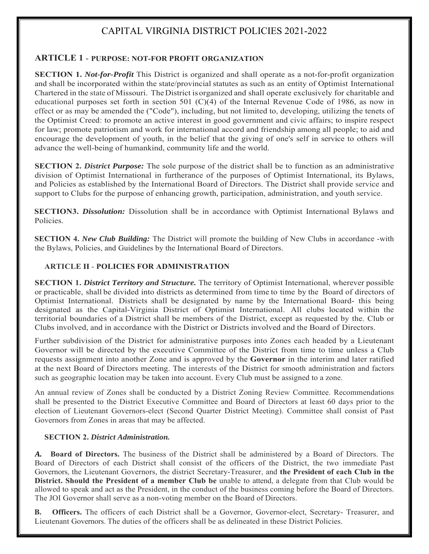# CAPITAL VIRGINIA DISTRICT POLICIES 2021-2022

# **ARTICLE 1** - **PURPOSE: NOT-FOR PROFIT ORGANIZATION**

**SECTION 1.** *Not-for-Profit* This District is organized and shall operate as a not-for-profit organization and shall be incorporated within the state/provincial statutes as such as an entity of Optimist International Chartered in the state of Missouri. The District is organized and shall operate exclusively for charitable and educational purposes set forth in section 501 (C)(4) of the Internal Revenue Code of 1986, as now in effect or as may be amended the ("Code"), including, but not limited to, developing, utilizing the tenets of the Optimist Creed: to promote an active interest in good government and civic affairs; to inspire respect for law; promote patriotism and work for international accord and friendship among all people; to aid and encourage the development of youth, in the belief that the giving of one's self in service to others will advance the well-being of humankind, community life and the world.

**SECTION 2. District Purpose:** The sole purpose of the district shall be to function as an administrative division of Optimist International in furtherance of the purposes of Optimist International, its Bylaws, and Policies as established by the International Board of Directors. The District shall provide service and support to Clubs for the purpose of enhancing growth, participation, administration, and youth service.

**SECTION3.** *Dissolution:* Dissolution shall be in accordance with Optimist International Bylaws and Policies.

**SECTION 4.** *New Club Building:* The District will promote the building of New Clubs in accordance -with the Bylaws, Policies, and Guidelines by the International Board of Directors.

#### **ARTICLE II** - **POLICIES FOR ADMINISTRATION**

**SECTION 1. District Territory and Structure.** The territory of Optimist International, wherever possible or practicable, shall be divided into districts as determined from time to time by the Board of directors of Optimist International. Districts shall be designated by name by the International Board- this being designated as the Capital-Virginia District of Optimist International. All clubs located within the territorial boundaries of a District shall be members of the District, except as requested by the, Club or Clubs involved, and in accordance with the District or Districts involved and the Board of Directors.

Further subdivision of the District for administrative purposes into Zones each headed by a Lieutenant Governor will be directed by the executive Committee of the District from time to time unless a Club requests assignment into another Zone and is approved by the **Governor** in the interim and later ratified at the next Board of Directors meeting. The interests of the District for smooth administration and factors such as geographic location may be taken into account. Every Club must be assigned to a zone.

An annual review of Zones shall be conducted by a District Zoning Review Committee. Recommendations shall be presented to the District Executive Committee and Board of Directors at least 60 days prior to the election of Lieutenant Governors-elect (Second Quarter District Meeting). Committee shall consist of Past Governors from Zones in areas that may be affected.

#### **SECTION 2.** *District Administration.*

*A.* **Board of Directors.** The business of the District shall be administered by a Board of Directors. The Board of Directors of each District shall consist of the officers of the District, the two immediate Past Governors, the Lieutenant Governors, the district Secretary-Treasurer, and **the President of each Club in the District. Should the President of a member Club be** unable to attend, a delegate from that Club would be allowed to speak and act as the President, in the conduct of the business coming before the Board of Directors. The JOI Governor shall serve as a non-voting member on the Board of Directors.

**B. Officers.** The officers of each District shall be a Governor, Governor-elect, Secretary- Treasurer, and Lieutenant Governors. The duties of the officers shall be as delineated in these District Policies.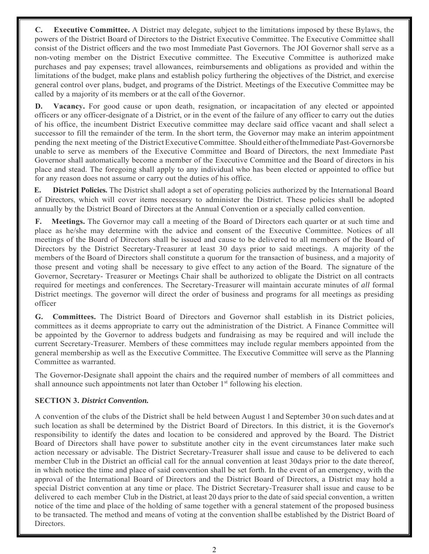**C. Executive Committee.** A District may delegate, subject to the limitations imposed by these Bylaws, the powers of the District Board of Directors to the District Executive Committee. The Executive Committee shall consist of the District officers and the two most Immediate Past Governors. The JOI Governor shall serve as a non-voting member on the District Executive committee. The Executive Committee is authorized make purchases and pay expenses; travel allowances, reimbursements and obligations as provided and within the limitations of the budget, make plans and establish policy furthering the objectives of the District, and exercise general control over plans, budget, and programs of the District. Meetings of the Executive Committee may be called by a majority of its members or at the call of the Governor.

**D. Vacancy.** For good cause or upon death, resignation, or incapacitation of any elected or appointed officers or any officer-designate of a District, or in the event of the failure of any officer to carry out the duties of his office, the incumbent District Executive committee may declare said office vacant and shall select a successor to fill the remainder of the term. In the short term, the Governor may make an interim appointment pending the next meeting of the District Executive Committee. Should either of the Immediate Past-Governors be unable to serve as members of the Executive Committee and Board of Directors, the next Immediate Past Governor shall automatically become a member of the Executive Committee and the Board of directors in his place and stead. The foregoing shall apply to any individual who has been elected or appointed to office but for any reason does not assume or carry out the duties of his office.

**E. District Policies.** The District shall adopt a set of operating policies authorized by the International Board of Directors, which will cover items necessary to administer the District. These policies shall be adopted annually by the District Board of Directors at the Annual Convention or a specially called convention.

**F. Meetings.** The Governor may call a meeting of the Board of Directors each quarter or at such time and place as he/she may determine with the advice and consent of the Executive Committee. Notices of all meetings of the Board of Directors shall be issued and cause to be delivered to all members of the Board of Directors by the District Secretary-Treasurer at least 30 days prior to said meetings. A majority of the members of the Board of Directors shall constitute a quorum for the transaction of business, and a majority of those present and voting shall be necessary to give effect to any action of the Board. The signature of the Governor, Secretary- Treasurer or Meetings Chair shall be authorized to obligate the District on all contracts required for meetings and conferences. The Secretary-Treasurer will maintain accurate minutes of *all* formal District meetings. The governor will direct the order of business and programs for all meetings as presiding officer

**G. Committees.** The District Board of Directors and Governor shall establish in its District policies, committees as it deems appropriate to carry out the administration of the District. A Finance Committee will be appointed by the Governor to address budgets and fundraising as may be required and will include the current Secretary-Treasurer. Members of these committees may include regular members appointed from the general membership as well as the Executive Committee. The Executive Committee will serve as the Planning Committee as warranted.

The Governor-Designate shall appoint the chairs and the required number of members of all committees and shall announce such appointments not later than October  $1<sup>st</sup>$  following his election.

## **SECTION 3.** *District Convention.*

A convention of the clubs of the District shall be held between August 1 and September 30 on such dates and at such location as shall be determined by the District Board of Directors. In this district, it is the Governor's responsibility to identify the dates and location to be considered and approved by the Board. The District Board of Directors shall have power to substitute another city in the event circumstances later make such action necessary or advisable. The District Secretary-Treasurer shall issue and cause to be delivered to each member Club in the District an official call for the annual convention at least 30days prior to the date thereof, in which notice the time and place of said convention shall be set forth. In the event of an emergency, with the approval of the International Board of Directors and the District Board of Directors, a District may hold a special District convention at any time or place. The District Secretary-Treasurer shall issue and cause to be delivered to each member Club in the District, at least 20 days prior to the date of said special convention, a written notice of the time and place of the holding of same together with a general statement of the proposed business to be transacted. The method and means of voting at the convention shall be established by the District Board of Directors.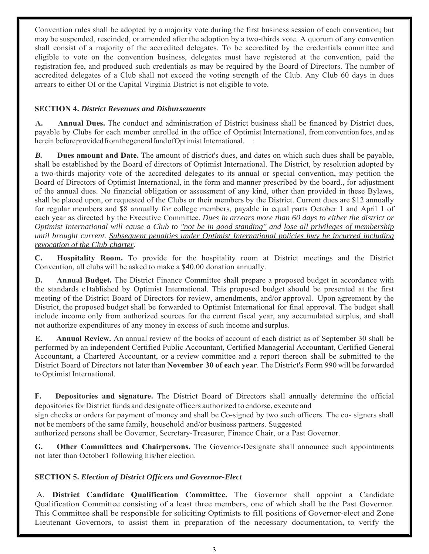Convention rules shall be adopted by a majority vote during the first business session of each convention; but may be suspended, rescinded, or amended after the adoption by a two-thirds vote. A quorum of any convention shall consist of a majority of the accredited delegates. To be accredited by the credentials committee and eligible to vote on the convention business, delegates must have registered at the convention, paid the registration fee, and produced such credentials as may be required by the Board of Directors. The number of accredited delegates of a Club shall not exceed the voting strength of the Club. Any Club 60 days in dues arrears to either OI or the Capital Virginia District is not eligible to vote.

#### **SECTION 4.** *District Revenues and Disbursements*

**A. Annual Dues.** The conduct and administration of District business shall be financed by District dues, payable by Clubs for each member enrolled in the office of Optimist International, from convention fees, and as herein before provided from the general fund of Optimist International. :

*B.* **Dues amount and Date.** The amount of district's dues, and dates on which such dues shall be payable, shall be established by the Board of directors of Optimist International. The District, by resolution adopted by a two-thirds majority vote of the accredited delegates to its annual or special convention, may petition the Board of Directors of Optimist International, in the form and manner prescribed by the board., for adjustment of the annual dues. No financial obligation or assessment of any kind, other than provided in these Bylaws, shall be placed upon, or requested of the Clubs or their members by the District. Current dues are \$12 annually for regular members and \$8 annually for college members, payable in equal parts October 1 and April 1 of each year as directed by the Executive Committee. *Dues in arrears more than 60 days to either the district or Optimist International will cause a Club to "not be in good standing'' and lose all privileges of membership until brought current. Subsequent penalties under Optimist International policies hwy be incurred including revocation of the Club charter.*

**C. Hospitality Room.** To provide for the hospitality room at District meetings and the District Convention, all clubs will be asked to make a \$40.00 donation annually.

**D. Annual Budget.** The District Finance Committee shall prepare a proposed budget in accordance with the standards e1tablished by Optimist International. This proposed budget should be presented at the first meeting of the District Board of Directors for review, amendments, and/or approval. Upon agreement by the District, the proposed budget shall be forwarded to Optimist International for final approval. The budget shall include income only from authorized sources for the current fiscal year, any accumulated surplus, and shall not authorize expenditures of any money in excess of such income and surplus.

**E. Annual Review.** An annual review of the books of account of each district as of September 30 shall be performed by an independent Certified Public Accountant, Certified Managerial Accountant, Certified General Accountant, a Chartered Accountant, or a review committee and a report thereon shall be submitted to the District Board of Directors not later than **November 30 of each year**. The District's Form 990 will be forwarded to Optimist International.

**F. Depositories and signature.** The District Board of Directors shall annually determine the official depositories for District funds and designate officers authorized to endorse, execute and

sign checks or orders for payment of money and shall be Co-signed by two such officers. The co- signers shall not be members of the same family, household and/or business partners. Suggested

authorized persons shall be Governor, Secretary-Treasurer, Finance Chair, or a Past Governor.

**G. Other Committees and Chairpersons.** The Governor-Designate shall announce such appointments not later than October1 following his/her election.

## **SECTION 5.** *Election of District Officers and Governor-Elect*

A. **District Candidate Qualification Committee.** The Governor shall appoint a Candidate Qualification Committee consisting of a least three members, one of which shall be the Past Governor. This Committee shall be responsible for soliciting Optimists to fill positions of Governor-elect and Zone Lieutenant Governors, to assist them in preparation of the necessary documentation, to verify the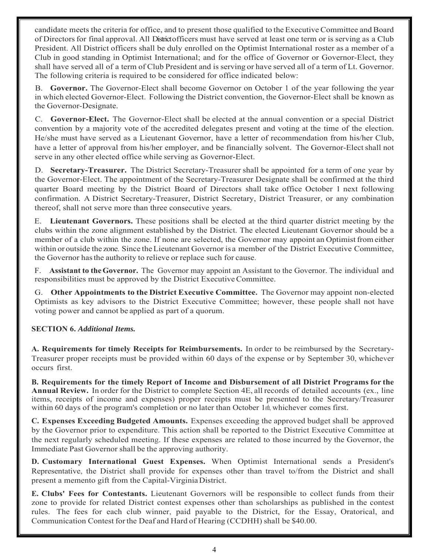candidate meets the criteria for office, and to present those qualified to the Executive Committee and Board of Directors for final approval. All District officers must have served at least one term or is serving as a Club President. All District officers shall be duly enrolled on the Optimist International roster as a member of a Club in good standing in Optimist International; and for the office of Governor or Governor-Elect, they shall have served all of a term of Club President and is serving or have served all of a term of Lt. Governor. The following criteria is required to be considered for office indicated below:

B. **Governor.** The Governor-Elect shall become Governor on October 1 of the year following the year in which elected Governor-Elect. Following the District convention, the Governor-Elect shall be known as the Governor-Designate.

C. **Governor-Elect.** The Governor-Elect shall be elected at the annual convention or a special District convention by a majority vote of the accredited delegates present and voting at the time of the election. He/she must have served as a Lieutenant Governor, have a letter of recommendation from his/her Club, have a letter of approval from his/her employer, and be financially solvent. The Governor-Elect shall not serve in any other elected office while serving as Governor-Elect.

D. **Secretary-Treasurer.** The District Secretary-Treasurer shall be appointed for a term of one year by the Governor-Elect. The appointment of the Secretary-Treasurer Designate shall be confirmed at the third quarter Board meeting by the District Board of Directors shall take office October 1 next following confirmation. A District Secretary-Treasurer, District Secretary, District Treasurer, or any combination thereof, shall not serve more than three consecutive years.

E. **Lieutenant Governors.** These positions shall be elected at the third quarter district meeting by the clubs within the zone alignment established by the District. The elected Lieutenant Governor should be a member of a club within the zone. If none are selected, the Governor may appoint an Optimist from either within or outside the zone. Since the Lieutenant Governor is a member of the District Executive Committee, the Governor has the authority to relieve or replace such for cause.

F. **Assistant to the Governor.** The Governor may appoint an Assistant to the Governor. The individual and responsibilities must be approved by the District Executive Committee.

G. **Other Appointments to the District Executive Committee.** The Governor may appoint non-elected Optimists as key advisors to the District Executive Committee; however, these people shall not have voting power and cannot be applied as part of a quorum.

## **SECTION 6.** *Additional Items.*

**A. Requirements for timely Receipts for Reimbursements.** In order to be reimbursed by the Secretary-Treasurer proper receipts must be provided within 60 days of the expense or by September 30, whichever occurs first.

**B. Requirements for the timely Report of Income and Disbursement of all District Programs for the Annual Review.** In order for the District to complete Section 4E, all records of detailed accounts (ex., line items, receipts of income and expenses) proper receipts must be presented to the Secretary/Treasurer within 60 days of the program's completion or no later than October 1oth, whichever comes first.

**C. Expenses Exceeding Budgeted Amounts.** Expenses exceeding the approved budget shall be approved by the Governor prior to expenditure. This action shall be reported to the District Executive Committee at the next regularly scheduled meeting. If these expenses are related to those incurred by the Governor, the Immediate Past Governor shall be the approving authority.

**D. Customary International Guest Expenses.** When Optimist International sends a President's Representative, the District shall provide for expenses other than travel to/from the District and shall present a memento gift from the Capital-Virginia District.

**E. Clubs' Fees for Contestants.** Lieutenant Governors will be responsible to collect funds from their zone to provide for related District contest expenses other than scholarships as published in the contest rules. The fees for each club winner, paid payable to the District, for the Essay, Oratorical, and Communication Contest for the Deaf and Hard of Hearing (CCDHH) shall be \$40.00.